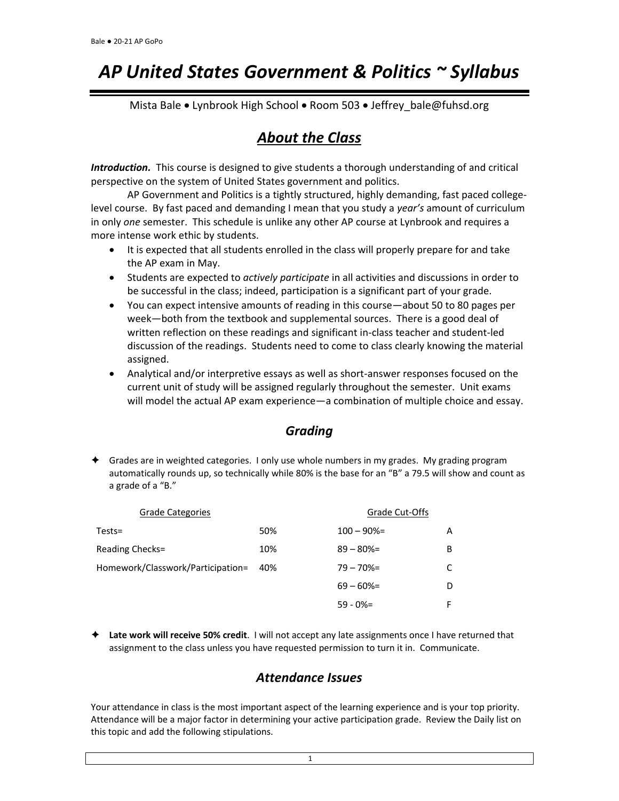# *AP United States Government & Politics ~ Syllabus*

Mista Bale • Lynbrook High School • Room 503 • Jeffrey bale@fuhsd.org

# *About the Class*

*Introduction.* This course is designed to give students a thorough understanding of and critical perspective on the system of United States government and politics.

AP Government and Politics is a tightly structured, highly demanding, fast paced collegelevel course. By fast paced and demanding I mean that you study a *year's* amount of curriculum in only *one* semester. This schedule is unlike any other AP course at Lynbrook and requires a more intense work ethic by students.

- It is expected that all students enrolled in the class will properly prepare for and take the AP exam in May.
- Students are expected to *actively participate* in all activities and discussions in order to be successful in the class; indeed, participation is a significant part of your grade.
- You can expect intensive amounts of reading in this course—about 50 to 80 pages per week—both from the textbook and supplemental sources. There is a good deal of written reflection on these readings and significant in-class teacher and student-led discussion of the readings. Students need to come to class clearly knowing the material assigned.
- Analytical and/or interpretive essays as well as short-answer responses focused on the current unit of study will be assigned regularly throughout the semester. Unit exams will model the actual AP exam experience—a combination of multiple choice and essay.

#### *Grading*

 Grades are in weighted categories. I only use whole numbers in my grades. My grading program automatically rounds up, so technically while 80% is the base for an "B" a 79.5 will show and count as a grade of a "B."

| <b>Grade Categories</b>           |     | Grade Cut-Offs |    |
|-----------------------------------|-----|----------------|----|
| $Tests =$                         | 50% | $100 - 90% =$  | A  |
| Reading Checks=                   | 10% | $89 - 80\% =$  | B  |
| Homework/Classwork/Participation= | 40% | $79 - 70% =$   | C  |
|                                   |     | $69 - 60\% =$  | D  |
|                                   |     | $59 - 0\% =$   | F. |

 **Late work will receive 50% credit**. I will not accept any late assignments once I have returned that assignment to the class unless you have requested permission to turn it in. Communicate.

#### *Attendance Issues*

Your attendance in class is the most important aspect of the learning experience and is your top priority. Attendance will be a major factor in determining your active participation grade. Review the Daily list on this topic and add the following stipulations.